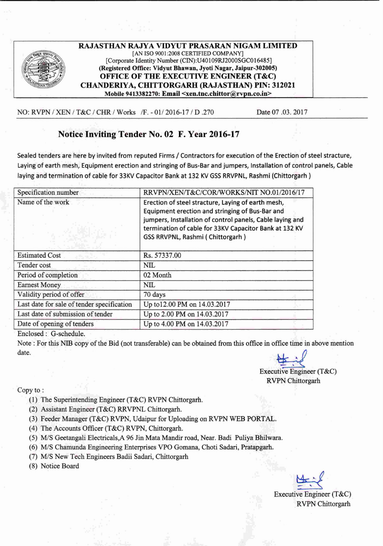

RAJASTHAN RAJYA VIDYUT PRASARAN NIGAM LIMITED [AN ISO 9001:2008 CERTIFIED COMPANY] [Corporate Identity Number (CIN):U40109RJ2000SGC016485] (Registered Office: Vidyut Bhawan, Jyoti Nagar, Jaipur-302005) OFFICE OF THE EXECUTIVE ENGINEER (T&C) CHANDERIYA, CHITTORGARH (RAJASTHAN) PIN: 312021 Mobile 9413382270: Email <xen.tnc.chittor@rvpn.co.in>

NO: RVPN *1*XEN *I* T&C *I* CRR *I* Works *IF. - OIl* 2016-17 *1*D .270 Date 07 .03.2017

## Notice Inviting Tender No. 02 F. Year 2016-17

Sealed tenders are here by invited from reputed Firms / Contractors for execution of the Erection of steel stracture, Laying of earth mesh, Equipment erection and stringing of Bus-Bar and jumpers, Installation of control panels, Cable laying and termination of cable for 33KV Capacitor Bank at 132 KV GSS RRVPNL, Rashmi (Chittorgarh)

| Specification number                       | RRVPN/XEN/T&C/COR/WORKS/NIT NO.01/2016/17                                                                    |
|--------------------------------------------|--------------------------------------------------------------------------------------------------------------|
| Name of the work                           | Erection of steel stracture, Laying of earth mesh,                                                           |
|                                            | Equipment erection and stringing of Bus-Bar and<br>jumpers, Installation of control panels, Cable laying and |
|                                            | termination of cable for 33KV Capacitor Bank at 132 KV                                                       |
|                                            | GSS RRVPNL, Rashmi (Chittorgarh)                                                                             |
|                                            |                                                                                                              |
| <b>Estimated Cost</b>                      | Rs. 57337.00                                                                                                 |
| Tender cost                                | <b>NIL</b>                                                                                                   |
| Period of completion                       | 02 Month                                                                                                     |
| <b>Earnest Money</b>                       | NIL                                                                                                          |
| Validity period of offer                   | 70 days                                                                                                      |
| Last date for sale of tender specification | Up to 12.00 PM on 14.03.2017                                                                                 |
| Last date of submission of tender          | Up to 2.00 PM on 14.03.2017                                                                                  |
| Date of opening of tenders                 | Up to 4.00 PM on 14.03.2017                                                                                  |

Enclosed: G-schedule.

Note: For this NIB copy of the Bid (not transferable) can be obtained from this office in office time in above mention  $\Delta$  date.

Executive Engineer (T&C)

RVPN Chittorgarh

Copy to :

- (1) The Superintending Engineer (T&C) RVPN Chittorgarh.
- (2) Assistant Engineer (T&C) RRVPNL Chittorgarh,
- (3) Feeder Manager (T&C) RVPN, Udaipur for Uploading on RVPN WEB PORTAL.
- (4) The Accounts Officer (T&C) RVPN, Chittorgarh.
- *(5) MIS* Geetangali Electricals,A 96 Jin Mata Mandir road, Near. Badi Puliya Bhilwara.
- *(6) MIS,* Chamunda Engineering Enterprises VPO Gomana, Choti Sadari, Pratapgarh,
- *(7) MIS* New Tech Engineers Badii Sadari, Chittorgarh
- (8) Notice Board

~ Executive Engineer (T&C)

.RVPN Chittorgarh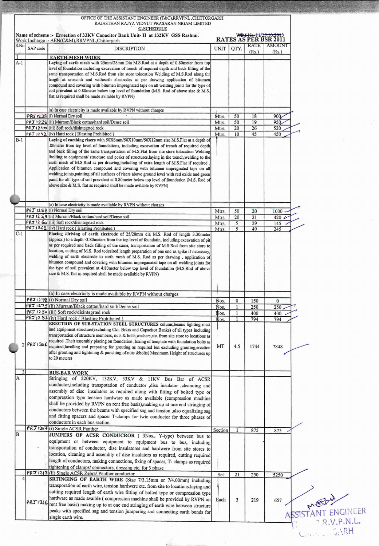| S.No<br>$A-1$  | SAP code       | <b>G-SCHEDULE</b><br>Name of scheme :- Errection of 33KV Capacitor Bank Unit- II at 132KV GSS Rashmi.<br>Work Incharge :- AEN(C&M),RRVPNL,Chittorgarh                                 |                |              |          |                                        |                   |
|----------------|----------------|---------------------------------------------------------------------------------------------------------------------------------------------------------------------------------------|----------------|--------------|----------|----------------------------------------|-------------------|
|                |                |                                                                                                                                                                                       |                |              |          |                                        |                   |
|                |                |                                                                                                                                                                                       |                |              |          | RATES AS PER BSR 2011<br>RATE   AMOUNT |                   |
|                |                | <b>DISCRIPTION</b>                                                                                                                                                                    | <b>UNIT</b>    | QTY.         | (Rs.)    | (Rs.)                                  |                   |
|                |                | <b>EARTH-MESH WORK</b>                                                                                                                                                                |                |              |          |                                        |                   |
|                |                | Laying of earth mesh with 25mm/28mm.Dia M.S.Rod at a depth of 0.80meter from top                                                                                                      |                |              |          |                                        |                   |
|                |                | level of foundation including excavation of trench of required depth and back filling of the                                                                                          |                |              |          |                                        |                   |
|                |                | same transportation of M.S.Rod from site store tolocation Welding of M.S.Rod along thr                                                                                                |                |              |          |                                        |                   |
|                |                | length at crossinh and withearth electrodes as per drawing application of bitumen                                                                                                     |                |              |          |                                        |                   |
|                |                | compound and covering with bitumen impregnated tape on all welding joints for thr type of<br>soil prevalent at 0.80meter below top level of foundation (M.S. Rod of above size & M.S. |                |              |          |                                        |                   |
|                |                | flat as required shall be made avilable by RVPN)                                                                                                                                      |                |              |          |                                        |                   |
|                |                |                                                                                                                                                                                       |                |              |          |                                        |                   |
|                |                |                                                                                                                                                                                       |                |              |          |                                        |                   |
|                |                | (a) In case electricity is made available by RVPN without charges                                                                                                                     |                |              |          |                                        |                   |
|                |                | PRJ 1238 (i) Normal Dry soil<br>PRJ 1239 (ii) Murram/Black cottan/hard soil/Dense soil                                                                                                | Mtrs.<br>Mtrs. | 50<br>50     | 18<br>19 | 90Q<br>950                             |                   |
|                |                | PRJ 1240 (iii) Soft rock/disintegrted rock                                                                                                                                            | Mtrs.          | 20           | 26       | 520                                    |                   |
|                |                | PRJ 1242 (iv) Hard rock (Blasting Prohibited)                                                                                                                                         | Mtrs.          | 10           | 45       | 450                                    |                   |
| $B-1$          |                | Laying of earthing risers with 50X6mm/50X10mm/50X12mm size M.S.Flat at a depth of                                                                                                     |                |              |          |                                        |                   |
|                |                | 80 meter from top level of foundations, including excavation of trench of required depth                                                                                              |                |              |          |                                        |                   |
|                |                | and back filling of the same transportation of M.S.Flat from site store tolocation Welding                                                                                            |                |              |          |                                        |                   |
|                |                | bolting to equipment/ structure and peaks of structures, laying in the trench, welding to the                                                                                         |                |              |          |                                        |                   |
|                |                | earth mesh of M.S.Rod as per drawing including of extra length of M.S.Flat if required.                                                                                               |                |              |          |                                        |                   |
|                |                | Application of bitumen compound and covering with bitumen impregnated tape on all                                                                                                     |                |              |          |                                        |                   |
|                |                | welding joints, painting of all surfaces of risers above ground level with red oxide and green                                                                                        |                |              |          |                                        |                   |
|                |                | paint for all type of soil prevalent at 0.80 meter below top level of foundation (M.S. Rod of                                                                                         |                |              |          |                                        |                   |
|                |                | above size & M.S. flat as required shall be made avilable by RVPN)                                                                                                                    |                |              |          |                                        |                   |
|                |                |                                                                                                                                                                                       |                |              |          |                                        |                   |
|                |                |                                                                                                                                                                                       |                |              |          |                                        |                   |
|                |                | (a) In case electricity is made available by RVPN without charges<br>$PRJ$ 12 \ $S_0$ (i) Normal Dry soil                                                                             |                | 50           |          |                                        |                   |
|                |                | (iii) Murram/Black cottan/hard soil/Dense soil                                                                                                                                        | Mtrs.          |              | 20       | 1000                                   |                   |
|                |                | PRJ12 60 (iii) Soft rock/disintegrted rock                                                                                                                                            | Mtrs.          | 20<br>5      | 21       | 420 <sub>2</sub>                       |                   |
|                |                | PRJ 1262 (iv) Hard rock (Blasting Prohibated)                                                                                                                                         | Mtrs.          | 5            | 29<br>49 | 145<br>245                             |                   |
| $C-1$          |                | Placing /driving of earth electrode of 25/28mm dia M.S. Rod of length 3.30meter                                                                                                       | Mtrs.          |              |          |                                        |                   |
|                |                | (approx.) to a depth -3.80meters from the top level of foundatin, including excavation of pit                                                                                         |                |              |          |                                        |                   |
|                |                | as per required and back filling of the same, transportation of M.S.Rod from site store to                                                                                            |                |              |          |                                        |                   |
|                |                | location, cutting of M.S. Rod todesired length preparation of one end as spike if necessary,                                                                                          |                |              |          |                                        |                   |
|                |                | welding of earth electrode to earth mesh of M.S. Rod as per drawing, application of                                                                                                   |                |              |          |                                        |                   |
|                |                | bitumen compound and covering with bitumen impreganated tape on all welding joints for                                                                                                |                |              |          |                                        |                   |
|                |                | the type of soil prevalent at 4.80meter below top level of foundation (M.S.Rod of above                                                                                               |                |              |          |                                        |                   |
|                |                | size & M.S. flat as required shall be made available by RVPN)                                                                                                                         |                |              |          |                                        |                   |
|                |                |                                                                                                                                                                                       |                |              |          |                                        |                   |
|                |                |                                                                                                                                                                                       |                |              |          |                                        |                   |
|                |                | (a) In case electricity is made available by RVPN without charges                                                                                                                     |                |              |          |                                        |                   |
|                |                | PRJ1278(i) Normal Dry soil                                                                                                                                                            | Nos.           | $\mathbf{0}$ | 150      | $\mathbf{0}$                           |                   |
|                |                | (iii) Murram/Black cottan/hard soil/Dense soil<br>PRJ 1280 (iii) Soft rock/disintegrted rock                                                                                          | Nos.           |              | 250      | 250                                    |                   |
|                |                | PRJ12 82(iv) Hard rock (Blasting Prohibated)                                                                                                                                          | Nos.           |              | 400      | 400                                    |                   |
|                |                | ERECTION OF SUB-STATION STEEL STRUCTURES colums, beams lighting mast                                                                                                                  | Nos.           |              | 794      | 794                                    |                   |
|                |                | and equipment structure(excluding Ckt. Brkrs and Capacitor Banks) of all types including                                                                                              |                |              |          |                                        |                   |
|                |                | transportation of structure members, nuts & bolts, washers, etc. from site store to locations as                                                                                      |                |              |          |                                        |                   |
|                |                | required .Their assembly placing on foundation ,foxing of template with foundation bolts as                                                                                           |                |              |          |                                        |                   |
|                | $2$ $PRJ1306$  | required, lavelling and preparing for grouting as required but excluding grouting, erection                                                                                           | MT             | 4.5          | 1744     | 7848                                   |                   |
|                |                | after grouting and tightining & punching of nuts &bolts( Maximum Height of structures up                                                                                              |                |              |          |                                        |                   |
|                |                | to 20 meters)                                                                                                                                                                         |                |              |          |                                        |                   |
|                |                |                                                                                                                                                                                       |                |              |          |                                        |                   |
| $\overline{3}$ |                | <b>BUS-BAR WORK</b>                                                                                                                                                                   |                |              |          |                                        |                   |
| A              |                | Stringing of 220KV, 132KV, 33KV & 11KV Bus Bar of ACSR                                                                                                                                |                |              |          |                                        |                   |
|                |                | conductor, including transpotation of conductor , disc insulator , cleanoing and                                                                                                      |                |              |          |                                        |                   |
|                |                | assembly of disc insulators as required along with fitting of bolted type or                                                                                                          |                |              |          |                                        |                   |
|                |                | compression type tension hardware as made available (compression machine                                                                                                              |                |              |          |                                        |                   |
|                |                | shall be provided by RVPN on rent free basis), making up at one end stringing of                                                                                                      |                |              |          |                                        |                   |
|                |                | conductors between the beams with specified sag and tension ,also equalizing sag                                                                                                      |                |              |          |                                        |                   |
|                |                | and fitting spacers and spacer T-clamps for twin conductor for three phases of                                                                                                        |                |              |          |                                        |                   |
|                |                | conductors in each bus section.                                                                                                                                                       |                |              |          |                                        |                   |
|                |                | PRJ1307(i) Single ACSR Panther                                                                                                                                                        | Section        | 1            | 875      | 875                                    |                   |
| B              |                | JUMPERS OF ACSR CONDUCROR (3Nos., Y-type) between bus to                                                                                                                              |                |              |          |                                        |                   |
|                |                | equipment or between equipment to equipment bus to bus, including                                                                                                                     |                |              |          |                                        |                   |
|                |                | transportation of conductor, dise insulatores and hardwere from site stores to                                                                                                        |                |              |          |                                        |                   |
|                |                | location, cleaning and assembly of dise insulators as required, cutting required                                                                                                      |                |              |          |                                        |                   |
|                |                | length of conductors, making connections, fixing of spacer, T- clamps as required                                                                                                     |                |              |          |                                        |                   |
|                |                | tightening of clamps/ connectors, dressing etc. for 3 phase                                                                                                                           |                |              |          |                                        |                   |
|                | <b>PRJ1312</b> | (ii) Single ACSR Zebra/ Panther conductor                                                                                                                                             | Set            | 21           | 250      | 5250                                   |                   |
|                |                | SRTINGING OF EARTH WIRE (Size 7/3.15mm or 7/4.00mm) including                                                                                                                         |                |              |          |                                        |                   |
|                |                | transporation of earth wire, tension hardwere etc. from site to locations.laying and                                                                                                  |                |              |          |                                        |                   |
|                |                | cutting required length of earth wire fitting of bolted type or compression type                                                                                                      |                |              |          |                                        |                   |
|                |                | hardware as made avaible (compression machine shall be provided by RVPN on                                                                                                            | Each           | 3            | 219      | 657                                    |                   |
|                |                | PRJ 1316 rent free basis) making up to at one end stringing of earth wire between structure                                                                                           |                |              |          |                                        |                   |
|                |                | peaks with specified sag and tension jumpering and connecting earth bonds for                                                                                                         |                |              |          |                                        | SSISTANT ENGINEER |
|                |                | single earth wire.                                                                                                                                                                    |                |              |          |                                        |                   |
|                |                |                                                                                                                                                                                       |                |              |          |                                        | RVPNL             |